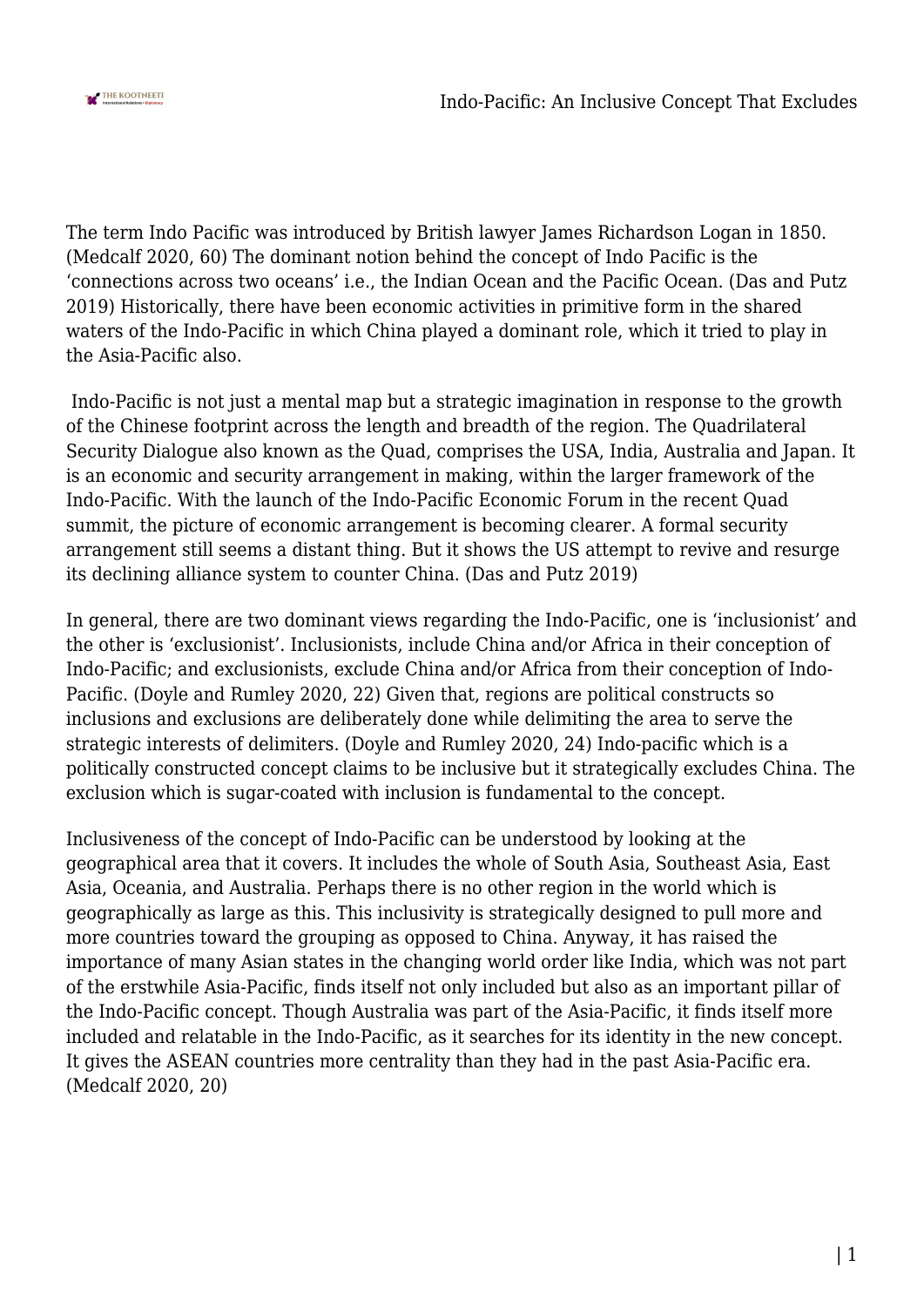

The term Indo Pacific was introduced by British lawyer James Richardson Logan in 1850. (Medcalf 2020, 60) The dominant notion behind the concept of Indo Pacific is the 'connections across two oceans' i.e., the Indian Ocean and the Pacific Ocean. (Das and Putz 2019) Historically, there have been economic activities in primitive form in the shared waters of the Indo-Pacific in which China played a dominant role, which it tried to play in the Asia-Pacific also.

 Indo-Pacific is not just a mental map but a strategic imagination in response to the growth of the Chinese footprint across the length and breadth of the region. The Quadrilateral Security Dialogue also known as the Quad, comprises the USA, India, Australia and Japan. It is an economic and security arrangement in making, within the larger framework of the Indo-Pacific. With the launch of the Indo-Pacific Economic Forum in the recent Quad summit, the picture of economic arrangement is becoming clearer. A formal security arrangement still seems a distant thing. But it shows the US attempt to revive and resurge its declining alliance system to counter China. (Das and Putz 2019)

In general, there are two dominant views regarding the Indo-Pacific, one is 'inclusionist' and the other is 'exclusionist'. Inclusionists, include China and/or Africa in their conception of Indo-Pacific; and exclusionists, exclude China and/or Africa from their conception of Indo-Pacific. (Doyle and Rumley 2020, 22) Given that, regions are political constructs so inclusions and exclusions are deliberately done while delimiting the area to serve the strategic interests of delimiters. (Doyle and Rumley 2020, 24) Indo-pacific which is a politically constructed concept claims to be inclusive but it strategically excludes China. The exclusion which is sugar-coated with inclusion is fundamental to the concept.

Inclusiveness of the concept of Indo-Pacific can be understood by looking at the geographical area that it covers. It includes the whole of South Asia, Southeast Asia, East Asia, Oceania, and Australia. Perhaps there is no other region in the world which is geographically as large as this. This inclusivity is strategically designed to pull more and more countries toward the grouping as opposed to China. Anyway, it has raised the importance of many Asian states in the changing world order like India, which was not part of the erstwhile Asia-Pacific, finds itself not only included but also as an important pillar of the Indo-Pacific concept. Though Australia was part of the Asia-Pacific, it finds itself more included and relatable in the Indo-Pacific, as it searches for its identity in the new concept. It gives the ASEAN countries more centrality than they had in the past Asia-Pacific era. (Medcalf 2020, 20)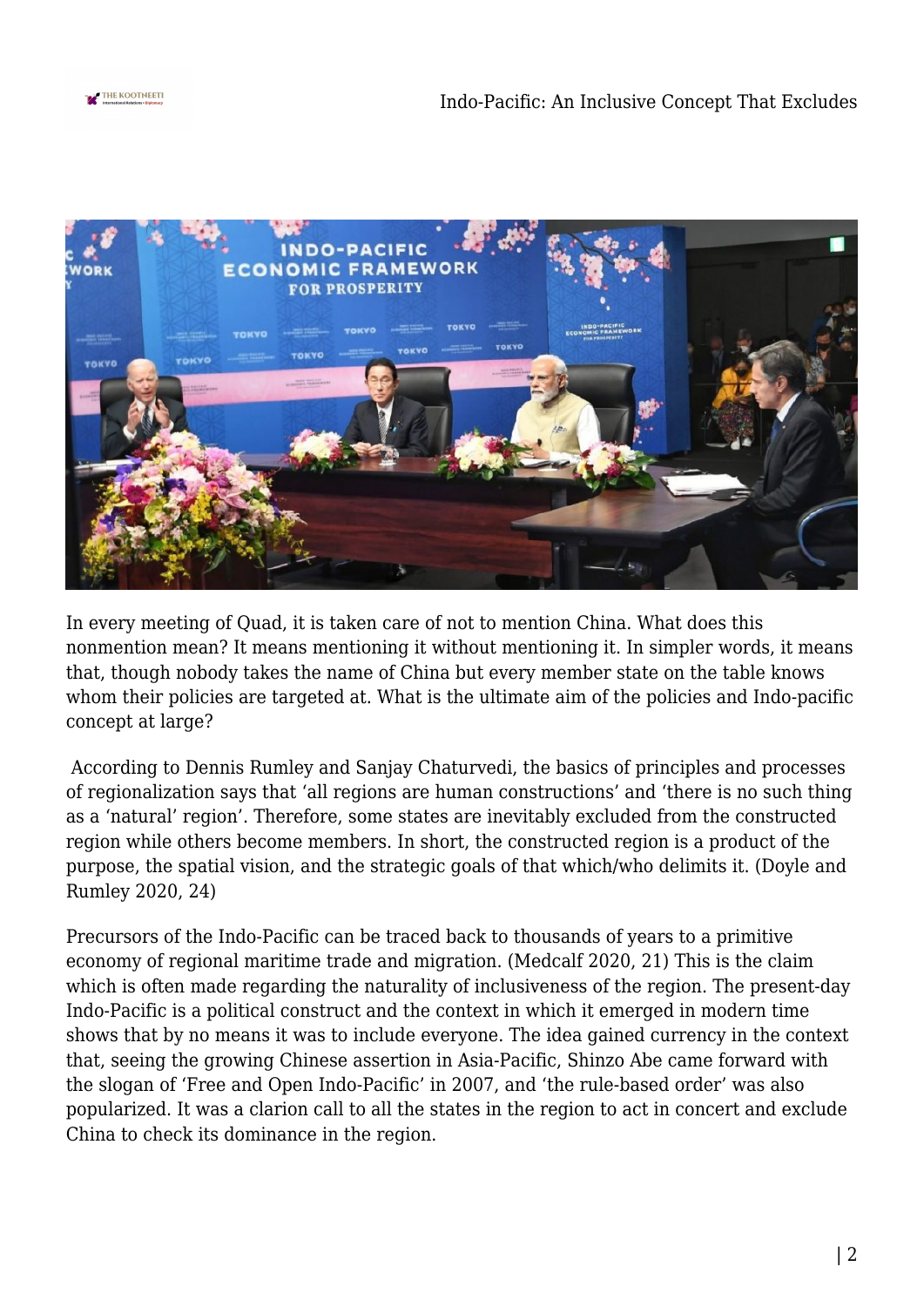



In every meeting of Quad, it is taken care of not to mention China. What does this nonmention mean? It means mentioning it without mentioning it. In simpler words, it means that, though nobody takes the name of China but every member state on the table knows whom their policies are targeted at. What is the ultimate aim of the policies and Indo-pacific concept at large?

 According to Dennis Rumley and Sanjay Chaturvedi, the basics of principles and processes of regionalization says that 'all regions are human constructions' and 'there is no such thing as a 'natural' region'. Therefore, some states are inevitably excluded from the constructed region while others become members. In short, the constructed region is a product of the purpose, the spatial vision, and the strategic goals of that which/who delimits it. (Doyle and Rumley 2020, 24)

Precursors of the Indo-Pacific can be traced back to thousands of years to a primitive economy of regional maritime trade and migration. (Medcalf 2020, 21) This is the claim which is often made regarding the naturality of inclusiveness of the region. The present-day Indo-Pacific is a political construct and the context in which it emerged in modern time shows that by no means it was to include everyone. The idea gained currency in the context that, seeing the growing Chinese assertion in Asia-Pacific, Shinzo Abe came forward with the slogan of 'Free and Open Indo-Pacific' in 2007, and 'the rule-based order' was also popularized. It was a clarion call to all the states in the region to act in concert and exclude China to check its dominance in the region.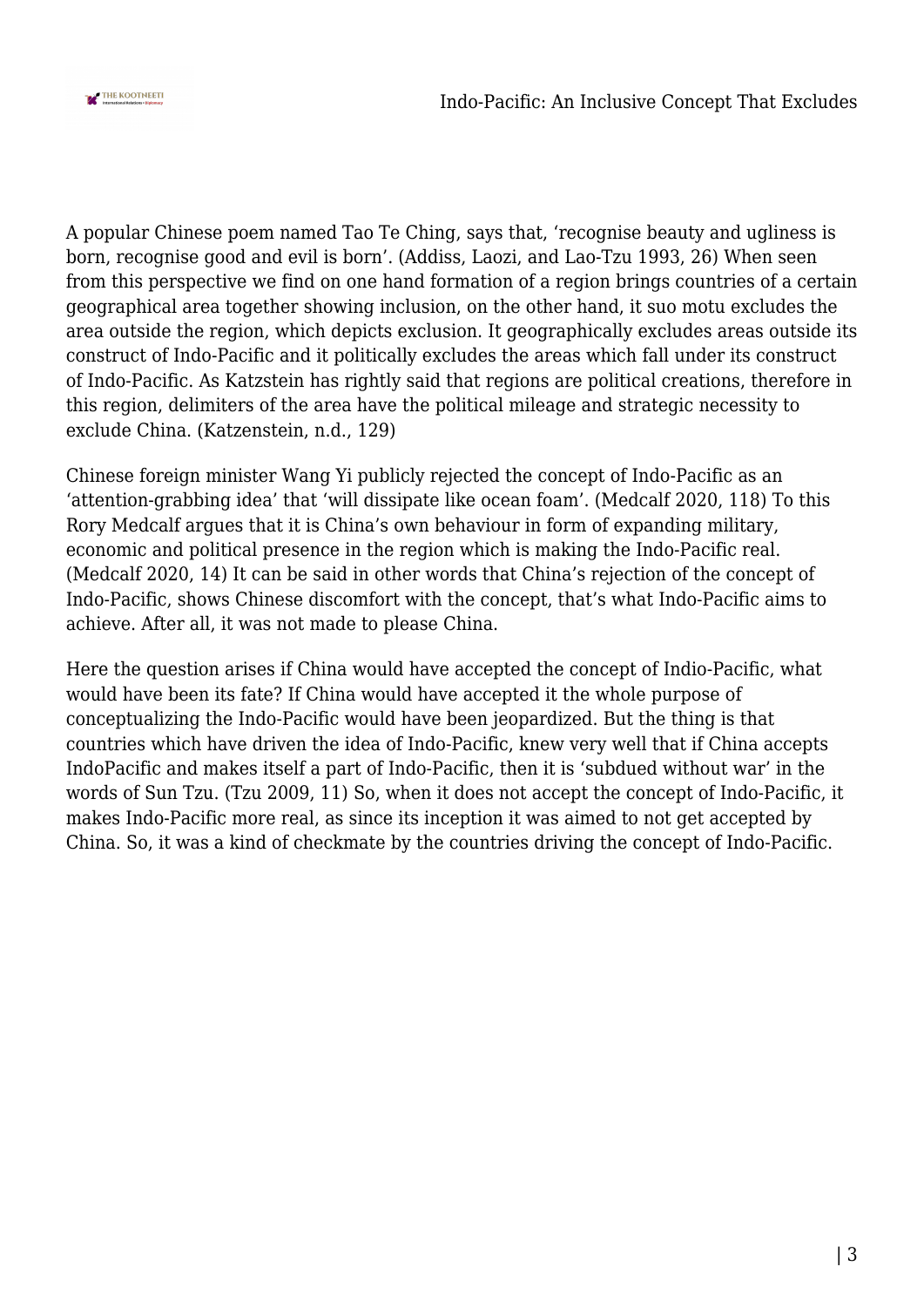

A popular Chinese poem named Tao Te Ching, says that, 'recognise beauty and ugliness is born, recognise good and evil is born'. (Addiss, Laozi, and Lao-Tzu 1993, 26) When seen from this perspective we find on one hand formation of a region brings countries of a certain geographical area together showing inclusion, on the other hand, it suo motu excludes the area outside the region, which depicts exclusion. It geographically excludes areas outside its construct of Indo-Pacific and it politically excludes the areas which fall under its construct of Indo-Pacific. As Katzstein has rightly said that regions are political creations, therefore in this region, delimiters of the area have the political mileage and strategic necessity to exclude China. (Katzenstein, n.d., 129)

Chinese foreign minister Wang Yi publicly rejected the concept of Indo-Pacific as an 'attention-grabbing idea' that 'will dissipate like ocean foam'. (Medcalf 2020, 118) To this Rory Medcalf argues that it is China's own behaviour in form of expanding military, economic and political presence in the region which is making the Indo-Pacific real. (Medcalf 2020, 14) It can be said in other words that China's rejection of the concept of Indo-Pacific, shows Chinese discomfort with the concept, that's what Indo-Pacific aims to achieve. After all, it was not made to please China.

Here the question arises if China would have accepted the concept of Indio-Pacific, what would have been its fate? If China would have accepted it the whole purpose of conceptualizing the Indo-Pacific would have been jeopardized. But the thing is that countries which have driven the idea of Indo-Pacific, knew very well that if China accepts IndoPacific and makes itself a part of Indo-Pacific, then it is 'subdued without war' in the words of Sun Tzu. (Tzu 2009, 11) So, when it does not accept the concept of Indo-Pacific, it makes Indo-Pacific more real, as since its inception it was aimed to not get accepted by China. So, it was a kind of checkmate by the countries driving the concept of Indo-Pacific.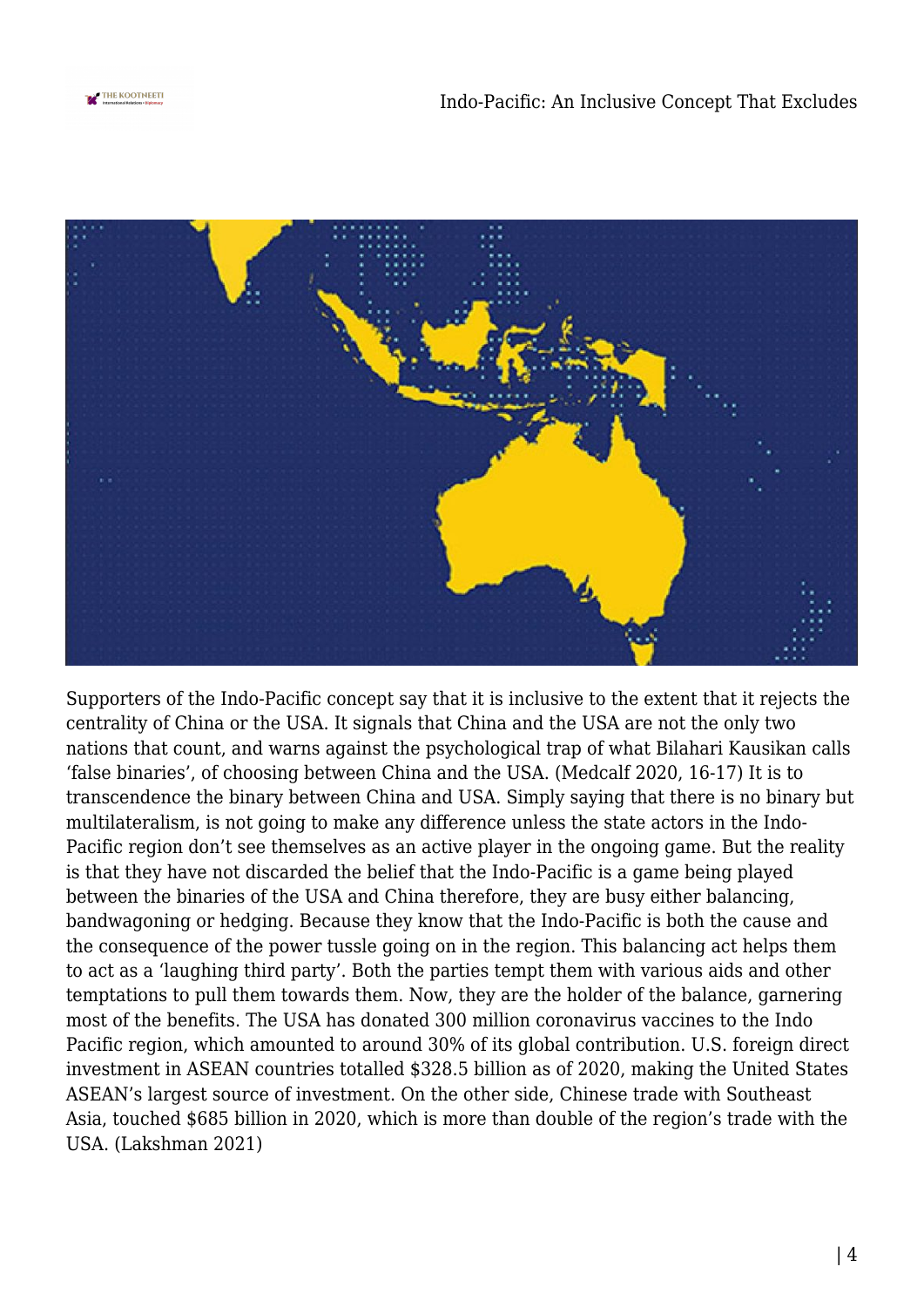



Supporters of the Indo-Pacific concept say that it is inclusive to the extent that it rejects the centrality of China or the USA. It signals that China and the USA are not the only two nations that count, and warns against the psychological trap of what Bilahari Kausikan calls 'false binaries', of choosing between China and the USA. (Medcalf 2020, 16-17) It is to transcendence the binary between China and USA. Simply saying that there is no binary but multilateralism, is not going to make any difference unless the state actors in the Indo-Pacific region don't see themselves as an active player in the ongoing game. But the reality is that they have not discarded the belief that the Indo-Pacific is a game being played between the binaries of the USA and China therefore, they are busy either balancing, bandwagoning or hedging. Because they know that the Indo-Pacific is both the cause and the consequence of the power tussle going on in the region. This balancing act helps them to act as a 'laughing third party'. Both the parties tempt them with various aids and other temptations to pull them towards them. Now, they are the holder of the balance, garnering most of the benefits. The USA has donated 300 million coronavirus vaccines to the Indo Pacific region, which amounted to around 30% of its global contribution. U.S. foreign direct investment in ASEAN countries totalled \$328.5 billion as of 2020, making the United States ASEAN's largest source of investment. On the other side, Chinese trade with Southeast Asia, touched \$685 billion in 2020, which is more than double of the region's trade with the USA. (Lakshman 2021)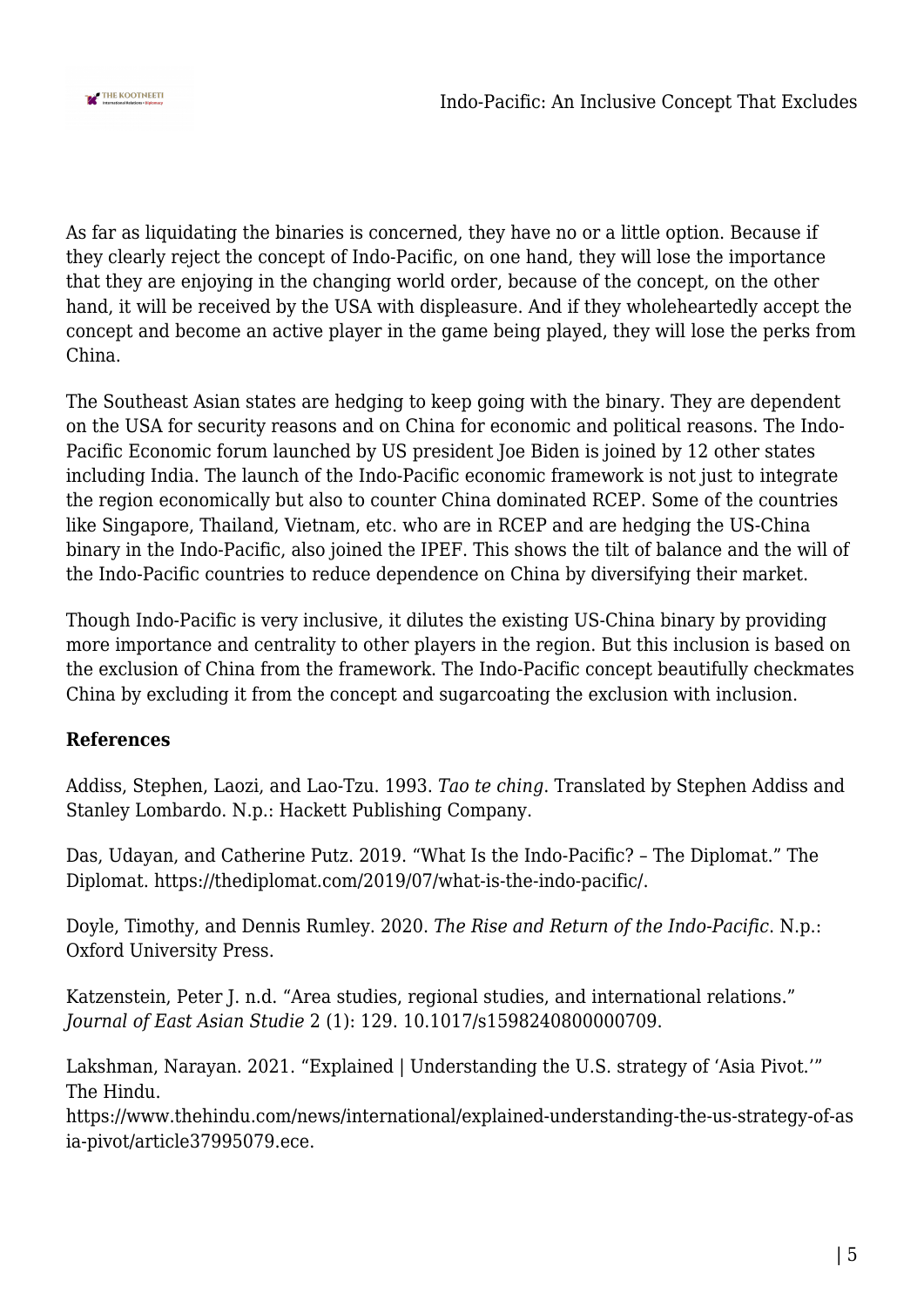

As far as liquidating the binaries is concerned, they have no or a little option. Because if they clearly reject the concept of Indo-Pacific, on one hand, they will lose the importance that they are enjoying in the changing world order, because of the concept, on the other hand, it will be received by the USA with displeasure. And if they wholeheartedly accept the concept and become an active player in the game being played, they will lose the perks from China.

The Southeast Asian states are hedging to keep going with the binary. They are dependent on the USA for security reasons and on China for economic and political reasons. The Indo-Pacific Economic forum launched by US president Joe Biden is joined by 12 other states including India. The launch of the Indo-Pacific economic framework is not just to integrate the region economically but also to counter China dominated RCEP. Some of the countries like Singapore, Thailand, Vietnam, etc. who are in RCEP and are hedging the US-China binary in the Indo-Pacific, also joined the IPEF. This shows the tilt of balance and the will of the Indo-Pacific countries to reduce dependence on China by diversifying their market.

Though Indo-Pacific is very inclusive, it dilutes the existing US-China binary by providing more importance and centrality to other players in the region. But this inclusion is based on the exclusion of China from the framework. The Indo-Pacific concept beautifully checkmates China by excluding it from the concept and sugarcoating the exclusion with inclusion.

## **References**

Addiss, Stephen, Laozi, and Lao-Tzu. 1993. *Tao te ching*. Translated by Stephen Addiss and Stanley Lombardo. N.p.: Hackett Publishing Company.

Das, Udayan, and Catherine Putz. 2019. "What Is the Indo-Pacific? – The Diplomat." The Diplomat. https://thediplomat.com/2019/07/what-is-the-indo-pacific/.

Doyle, Timothy, and Dennis Rumley. 2020. *The Rise and Return of the Indo-Pacific*. N.p.: Oxford University Press.

Katzenstein, Peter J. n.d. "Area studies, regional studies, and international relations." *Journal of East Asian Studie* 2 (1): 129. 10.1017/s1598240800000709.

Lakshman, Narayan. 2021. "Explained | Understanding the U.S. strategy of 'Asia Pivot.'" The Hindu.

https://www.thehindu.com/news/international/explained-understanding-the-us-strategy-of-as ia-pivot/article37995079.ece.